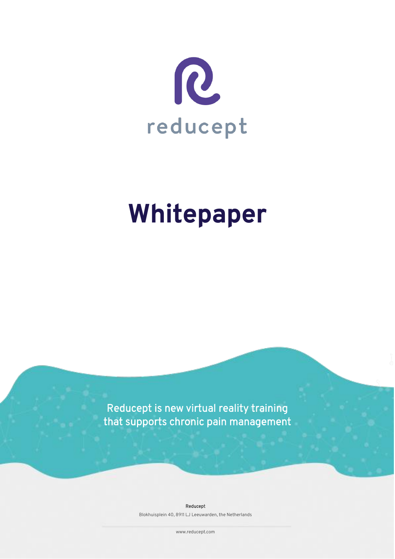

# **Whitepaper**

Reducept is new virtual reality training that supports chronic pain management

Reducept

Blokhuisplein 40, 8911 LJ Leeuwarden, the Netherlands

www.reducept.com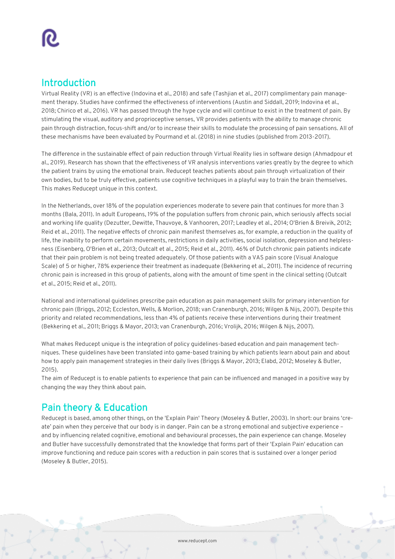# Introduction

Virtual Reality (VR) is an effective (Indovina et al., 2018) and safe (Tashjian et al., 2017) complimentary pain management therapy. Studies have confirmed the effectiveness of interventions (Austin and Siddall, 2019; Indovina et al., 2018; Chirico et al., 2016). VR has passed through the hype cycle and will continue to exist in the treatment of pain. By stimulating the visual, auditory and proprioceptive senses, VR provides patients with the ability to manage chronic pain through distraction, focus-shift and/or to increase their skills to modulate the processing of pain sensations. All of these mechanisms have been evaluated by Pourmand et al. (2018) in nine studies (published from 2013-2017).

The difference in the sustainable effect of pain reduction through Virtual Reality lies in software design (Ahmadpour et al., 2019). Research has shown that the effectiveness of VR analysis interventions varies greatly by the degree to which the patient trains by using the emotional brain. Reducept teaches patients about pain through virtualization of their own bodies, but to be truly effective, patients use cognitive techniques in a playful way to train the brain themselves. This makes Reducept unique in this context.

In the Netherlands, over 18% of the population experiences moderate to severe pain that continues for more than 3 months (Bala, 2011). In adult Europeans, 19% of the population suffers from chronic pain, which seriously affects social and working life quality (Dezutter, Dewitte, Thauvoye, & Vanhooren, 2017; Leadley et al., 2014; O'Brien & Breivik, 2012; Reid et al., 2011). The negative effects of chronic pain manifest themselves as, for example, a reduction in the quality of life, the inability to perform certain movements, restrictions in daily activities, social isolation, depression and helplessness (Eisenberg, O'Brien et al., 2013; Outcalt et al., 2015; Reid et al., 2011). 46% of Dutch chronic pain patients indicate that their pain problem is not being treated adequately. Of those patients with a VAS pain score (Visual Analogue Scale) of 5 or higher, 78% experience their treatment as inadequate (Bekkering et al., 2011). The incidence of recurring chronic pain is increased in this group of patients, along with the amount of time spent in the clinical setting (Outcalt et al., 2015; Reid et al., 2011).

National and international guidelines prescribe pain education as pain management skills for primary intervention for chronic pain (Briggs, 2012; Eccleston, Wells, & Morlion, 2018; van Cranenburgh, 2016; Wilgen & Nijs, 2007). Despite this priority and related recommendations, less than 4% of patients receive these interventions during their treatment (Bekkering et al., 2011; Briggs & Mayor, 2013; van Cranenburgh, 2016; Vrolijk, 2016; Wilgen & Nijs, 2007).

What makes Reducept unique is the integration of policy guidelines-based education and pain management techniques. These guidelines have been translated into game-based training by which patients learn about pain and about how to apply pain management strategies in their daily lives (Briggs & Mayor, 2013; Elabd, 2012; Moseley & Butler, 2015).

The aim of Reducept is to enable patients to experience that pain can be influenced and managed in a positive way by changing the way they think about pain.

# Pain theory & Education

Reducept is based, among other things, on the 'Explain Pain' Theory (Moseley & Butler, 2003). In short: our brains 'create' pain when they perceive that our body is in danger. Pain can be a strong emotional and subjective experience – and by influencing related cognitive, emotional and behavioural processes, the pain experience can change. Moseley and Butler have successfully demonstrated that the knowledge that forms part of their 'Explain Pain' education can improve functioning and reduce pain scores with a reduction in pain scores that is sustained over a longer period (Moseley & Butler, 2015).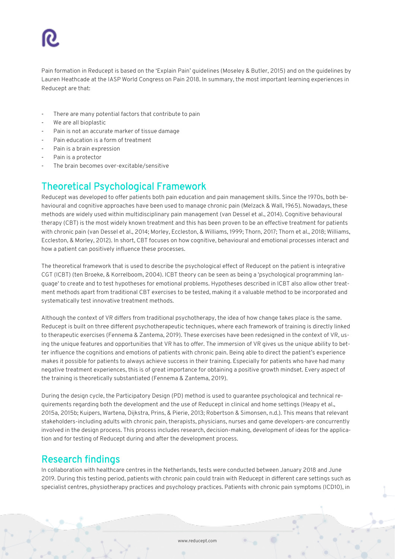Pain formation in Reducept is based on the 'Explain Pain' guidelines (Moseley & Butler, 2015) and on the guidelines by Lauren Heathcade at the IASP World Congress on Pain 2018. In summary, the most important learning experiences in Reducept are that:

- There are many potential factors that contribute to pain
- We are all bioplastic
- Pain is not an accurate marker of tissue damage
- Pain education is a form of treatment
- Pain is a brain expression
- Pain is a protector
- The brain becomes over-excitable/sensitive

# Theoretical Psychological Framework

Reducept was developed to offer patients both pain education and pain management skills. Since the 1970s, both behavioural and cognitive approaches have been used to manage chronic pain (Melzack & Wall, 1965). Nowadays, these methods are widely used within multidisciplinary pain management (van Dessel et al., 2014). Cognitive behavioural therapy (CBT) is the most widely known treatment and this has been proven to be an effective treatment for patients with chronic pain (van Dessel et al., 2014; Morley, Eccleston, & Williams, 1999; Thorn, 2017; Thorn et al., 2018; Williams, Eccleston, & Morley, 2012). In short, CBT focuses on how cognitive, behavioural and emotional processes interact and how a patient can positively influence these processes.

The theoretical framework that is used to describe the psychological effect of Reducept on the patient is integrative CGT (ICBT) (ten Broeke, & Korrelboom, 2004). ICBT theory can be seen as being a 'psychological programming language' to create and to test hypotheses for emotional problems. Hypotheses described in ICBT also allow other treatment methods apart from traditional CBT exercises to be tested, making it a valuable method to be incorporated and systematically test innovative treatment methods.

Although the context of VR differs from traditional psychotherapy, the idea of how change takes place is the same. Reducept is built on three different psychotherapeutic techniques, where each framework of training is directly linked to therapeutic exercises (Fennema & Zantema, 2019). These exercises have been redesigned in the context of VR, using the unique features and opportunities that VR has to offer. The immersion of VR gives us the unique ability to better influence the cognitions and emotions of patients with chronic pain. Being able to direct the patient's experience makes it possible for patients to always achieve success in their training. Especially for patients who have had many negative treatment experiences, this is of great importance for obtaining a positive growth mindset. Every aspect of the training is theoretically substantiated (Fennema & Zantema, 2019).

During the design cycle, the Participatory Design (PD) method is used to guarantee psychological and technical requirements regarding both the development and the use of Reducept in clinical and home settings (Heapy et al., 2015a, 2015b; Kuipers, Wartena, Dijkstra, Prins, & Pierie, 2013; Robertson & Simonsen, n.d.). This means that relevant stakeholders-including adults with chronic pain, therapists, physicians, nurses and game developers-are concurrently involved in the design process. This process includes research, decision-making, development of ideas for the application and for testing of Reducept during and after the development process.

### Research findings

In collaboration with healthcare centres in the Netherlands, tests were conducted between January 2018 and June 2019. During this testing period, patients with chronic pain could train with Reducept in different care settings such as specialist centres, physiotherapy practices and psychology practices. Patients with chronic pain symptoms (ICD10), in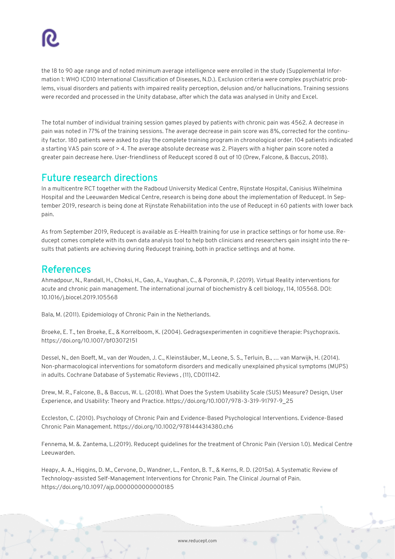the 18 to 90 age range and of noted minimum average intelligence were enrolled in the study (Supplemental Information 1: WHO ICD10 International Classification of Diseases, N.D.). Exclusion criteria were complex psychiatric problems, visual disorders and patients with impaired reality perception, delusion and/or hallucinations. Training sessions were recorded and processed in the Unity database, after which the data was analysed in Unity and Excel.

The total number of individual training session games played by patients with chronic pain was 4562. A decrease in pain was noted in 77% of the training sessions. The average decrease in pain score was 8%, corrected for the continuity factor. 180 patients were asked to play the complete training program in chronological order. 104 patients indicated a starting VAS pain score of > 4. The average absolute decrease was 2. Players with a higher pain score noted a greater pain decrease here. User-friendliness of Reducept scored 8 out of 10 (Drew, Falcone, & Baccus, 2018).

# Future research directions

In a multicentre RCT together with the Radboud University Medical Centre, Rijnstate Hospital, Canisius Wilhelmina Hospital and the Leeuwarden Medical Centre, research is being done about the implementation of Reducept. In September 2019, research is being done at Rijnstate Rehabilitation into the use of Reducept in 60 patients with lower back pain.

As from September 2019, Reducept is available as E-Health training for use in practice settings or for home use. Reducept comes complete with its own data analysis tool to help both clinicians and researchers gain insight into the results that patients are achieving during Reducept training, both in practice settings and at home.

# References

Ahmadpour, N., Randall, H., Choksi, H., Gao, A., Vaughan, C., & Poronnik, P. (2019). Virtual Reality interventions for acute and chronic pain management. The international journal of biochemistry & cell biology, 114, 105568. DOI: 10.1016/j.biocel.2019.105568

Bala, M. (2011). Epidemiology of Chronic Pain in the Netherlands.

Broeke, E. T., ten Broeke, E., & Korrelboom, K. (2004). Gedragsexperimenten in cognitieve therapie: Psychopraxis. https://doi.org/10.1007/bf03072151

Dessel, N., den Boeft, M., van der Wouden, J. C., Kleinstäuber, M., Leone, S. S., Terluin, B., … van Marwijk, H. (2014). Non-pharmacological interventions for somatoform disorders and medically unexplained physical symptoms (MUPS) in adults. Cochrane Database of Systematic Reviews , (11), CD011142.

Drew, M. R., Falcone, B., & Baccus, W. L. (2018). What Does the System Usability Scale (SUS) Measure? Design, User Experience, and Usability: Theory and Practice. https://doi.org/10.1007/978-3-319-91797-9\_25

Eccleston, C. (2010). Psychology of Chronic Pain and Evidence-Based Psychological Interventions. Evidence-Based Chronic Pain Management. https://doi.org/10.1002/9781444314380.ch6

Fennema, M. &. Zantema, L.(2019). Reducept guidelines for the treatment of Chronic Pain (Version 1.0). Medical Centre Leeuwarden.

Heapy, A. A., Higgins, D. M., Cervone, D., Wandner, L., Fenton, B. T., & Kerns, R. D. (2015a). A Systematic Review of Technology-assisted Self-Management Interventions for Chronic Pain. The Clinical Journal of Pain. https://doi.org/10.1097/ajp.0000000000000185